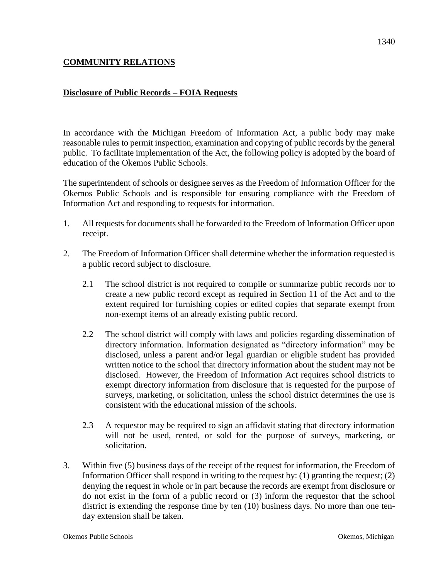# **COMMUNITY RELATIONS**

# **Disclosure of Public Records – FOIA Requests**

In accordance with the Michigan Freedom of Information Act, a public body may make reasonable rules to permit inspection, examination and copying of public records by the general public. To facilitate implementation of the Act, the following policy is adopted by the board of education of the Okemos Public Schools.

The superintendent of schools or designee serves as the Freedom of Information Officer for the Okemos Public Schools and is responsible for ensuring compliance with the Freedom of Information Act and responding to requests for information.

- 1. All requests for documents shall be forwarded to the Freedom of Information Officer upon receipt.
- 2. The Freedom of Information Officer shall determine whether the information requested is a public record subject to disclosure.
	- 2.1 The school district is not required to compile or summarize public records nor to create a new public record except as required in Section 11 of the Act and to the extent required for furnishing copies or edited copies that separate exempt from non-exempt items of an already existing public record.
	- 2.2 The school district will comply with laws and policies regarding dissemination of directory information. Information designated as "directory information" may be disclosed, unless a parent and/or legal guardian or eligible student has provided written notice to the school that directory information about the student may not be disclosed. However, the Freedom of Information Act requires school districts to exempt directory information from disclosure that is requested for the purpose of surveys, marketing, or solicitation, unless the school district determines the use is consistent with the educational mission of the schools.
	- 2.3 A requestor may be required to sign an affidavit stating that directory information will not be used, rented, or sold for the purpose of surveys, marketing, or solicitation.
- 3. Within five (5) business days of the receipt of the request for information, the Freedom of Information Officer shall respond in writing to the request by:  $(1)$  granting the request;  $(2)$ denying the request in whole or in part because the records are exempt from disclosure or do not exist in the form of a public record or (3) inform the requestor that the school district is extending the response time by ten (10) business days. No more than one tenday extension shall be taken.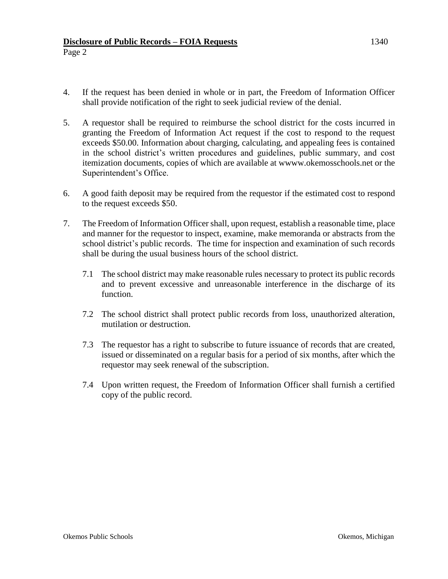### **Disclosure of Public Records – FOIA Requests** 1340 Page 2

- 4. If the request has been denied in whole or in part, the Freedom of Information Officer shall provide notification of the right to seek judicial review of the denial.
- 5. A requestor shall be required to reimburse the school district for the costs incurred in granting the Freedom of Information Act request if the cost to respond to the request exceeds \$50.00. Information about charging, calculating, and appealing fees is contained in the school district's written procedures and guidelines, public summary, and cost itemization documents, copies of which are available at wwww.okemosschools.net or the Superintendent's Office.
- 6. A good faith deposit may be required from the requestor if the estimated cost to respond to the request exceeds \$50.
- 7. The Freedom of Information Officer shall, upon request, establish a reasonable time, place and manner for the requestor to inspect, examine, make memoranda or abstracts from the school district's public records. The time for inspection and examination of such records shall be during the usual business hours of the school district.
	- 7.1 The school district may make reasonable rules necessary to protect its public records and to prevent excessive and unreasonable interference in the discharge of its function.
	- 7.2 The school district shall protect public records from loss, unauthorized alteration, mutilation or destruction.
	- 7.3 The requestor has a right to subscribe to future issuance of records that are created, issued or disseminated on a regular basis for a period of six months, after which the requestor may seek renewal of the subscription.
	- 7.4 Upon written request, the Freedom of Information Officer shall furnish a certified copy of the public record.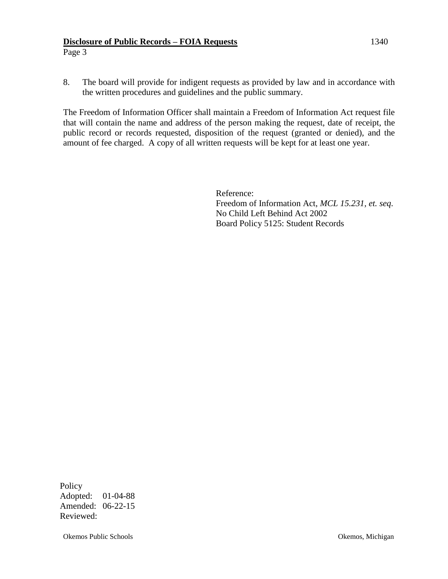### **Disclosure of Public Records – FOIA Requests** 1340 Page 3

8. The board will provide for indigent requests as provided by law and in accordance with the written procedures and guidelines and the public summary.

The Freedom of Information Officer shall maintain a Freedom of Information Act request file that will contain the name and address of the person making the request, date of receipt, the public record or records requested, disposition of the request (granted or denied), and the amount of fee charged. A copy of all written requests will be kept for at least one year.

> Reference: Freedom of Information Act, *MCL 15.231, et. seq.* No Child Left Behind Act 2002 Board Policy 5125: Student Records

Policy Adopted: 01-04-88 Amended: 06-22-15 Reviewed:

Okemos Public Schools Okemos, Michigan